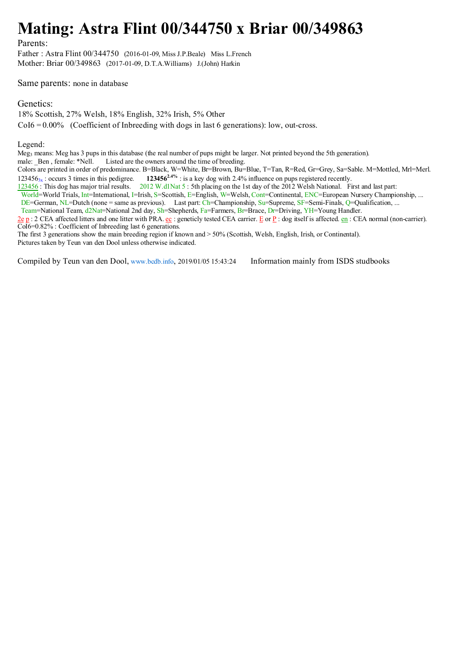## **Mating: Astra Flint 00/344750 x Briar 00/349863**

Parents:

Father : Astra Flint 00/344750 (2016-01-09, Miss J.P.Beale) Miss L.French Mother: Briar 00/349863 (2017-01-09, D.T.A.Williams) J.(John) Harkin

Same parents: none in database

Genetics:

18% Scottish, 27% Welsh, 18% English, 32% Irish, 5% Other

 $CoI6 = 0.00\%$  (Coefficient of Inbreeding with dogs in last 6 generations): low, out-cross.

Legend:

Meg<sub>3</sub> means: Meg has 3 pups in this database (the real number of pups might be larger. Not printed beyond the 5th generation).<br>male: Ben . female: \*Nell. Listed are the owners around the time of breeding.

Listed are the owners around the time of breeding.

Colors are printed in order of predominance. B=Black, W=White, Br=Brown, Bu=Blue, T=Tan, R=Red, Gr=Grey, Sa=Sable. M=Mottled, Mrl=Merl. 1234563x : occurs 3 times in this pedigree. **1234562.4%** : is a key dog with 2.4% influence on pups registered recently.

123456 : This dog has major trial results. 2012 W.d1Nat 5 : 5th placing on the 1st day of the 2012 Welsh National. First and last part:

World=World Trials, Int=International, I=Irish, S=Scottish, E=English, W=Welsh, Cont=Continental, ENC=European Nursery Championship, ...

DE=German, NL=Dutch (none = same as previous). Last part: Ch=Championship, Su=Supreme, SF=Semi-Finals, Q=Qualification, ...

Team=National Team, d2Nat=National 2nd day, Sh=Shepherds, Fa=Farmers, Br=Brace, Dr=Driving, YH=Young Handler.

 $2e$  p : 2 CEA affected litters and one litter with PRA. ec : geneticly tested CEA carrier. E or P : dog itself is affected. en : CEA normal (non-carrier). CoI6=0.82% : Coefficient of Inbreeding last 6 generations.

The first 3 generations show the main breeding region if known and > 50% (Scottish, Welsh, English, Irish, or Continental). Pictures taken by Teun van den Dool unless otherwise indicated.

Compiled by Teun van den Dool, www.bcdb.info, 2019/01/05 15:43:24 Information mainly from ISDS studbooks